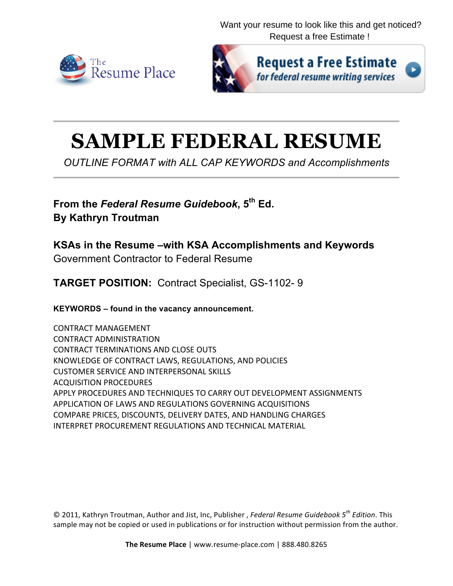[Want your resume to look like this and get noticed?](http://www.resume-place.com/services/freeestimate/) Request a free Estimate !





**Request a Free Estimate** for federal resume writing services

# **SAMPLE FEDERAL RESUME**

*OUTLINE FORMAT with ALL CAP KEYWORDS and Accomplishments*

**From the** *Federal Resume Guidebook***, 5th Ed. By Kathryn Troutman**

**KSAs in the Resume –with KSA Accomplishments and Keywords**

Government Contractor to Federal Resume

**TARGET POSITION:** Contract Specialist, GS-1102- 9

**KEYWORDS – found in the vacancy announcement.**

CONTRACT MANAGEMENT CONTRACT ADMINISTRATION CONTRACT TERMINATIONS AND CLOSE OUTS KNOWLEDGE OF CONTRACT LAWS, REGULATIONS, AND POLICIES CUSTOMER SERVICE AND INTERPERSONAL SKILLS ACQUISITION PROCEDURES APPLY PROCEDURES AND TECHNIQUES TO CARRY OUT DEVELOPMENT ASSIGNMENTS APPLICATION OF LAWS AND REGULATIONS GOVERNING ACQUISITIONS COMPARE PRICES, DISCOUNTS, DELIVERY DATES, AND HANDLING CHARGES INTERPRET PROCUREMENT REGULATIONS AND TECHNICAL MATERIAL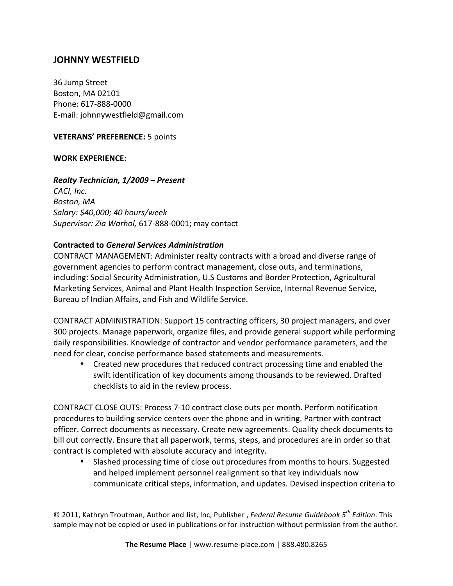# **JOHNNY WESTFIELD**

36 Jump Street **Boston, MA 02101** Phone: 617-888-0000 E-mail: johnnywestfield@gmail.com

**VETERANS' PREFERENCE:** 5 points

## **WORK EXPERIENCE:**

#### *Realty Technician, 1/2009 – Present*

*CACI, Inc. Boston, MA Salary: \$40,000; 40 hours/week Supervisor: Zia Warhol,* 617-888-0001; may contact

#### **Contracted to** *General Services Administration*

CONTRACT MANAGEMENT: Administer realty contracts with a broad and diverse range of government agencies to perform contract management, close outs, and terminations, including: Social Security Administration, U.S Customs and Border Protection, Agricultural Marketing Services, Animal and Plant Health Inspection Service, Internal Revenue Service, Bureau of Indian Affairs, and Fish and Wildlife Service.

CONTRACT ADMINISTRATION: Support 15 contracting officers, 30 project managers, and over 300 projects. Manage paperwork, organize files, and provide general support while performing daily responsibilities. Knowledge of contractor and vendor performance parameters, and the need for clear, concise performance based statements and measurements.

• Created new procedures that reduced contract processing time and enabled the swift identification of key documents among thousands to be reviewed. Drafted checklists to aid in the review process.

CONTRACT CLOSE OUTS: Process 7-10 contract close outs per month. Perform notification procedures to building service centers over the phone and in writing. Partner with contract officer. Correct documents as necessary. Create new agreements. Quality check documents to bill out correctly. Ensure that all paperwork, terms, steps, and procedures are in order so that contract is completed with absolute accuracy and integrity.

Slashed processing time of close out procedures from months to hours. Suggested and helped implement personnel realignment so that key individuals now communicate critical steps, information, and updates. Devised inspection criteria to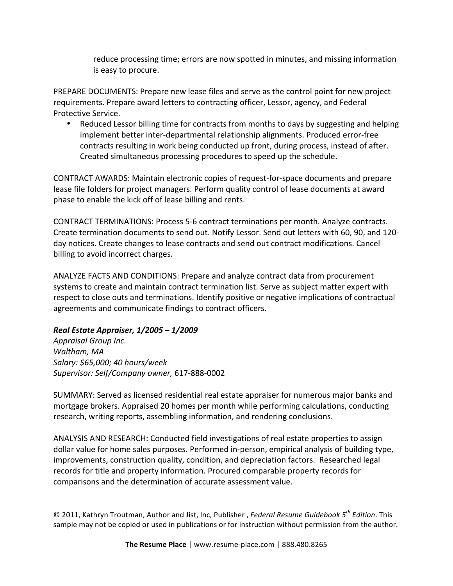reduce processing time; errors are now spotted in minutes, and missing information is easy to procure.

PREPARE DOCUMENTS: Prepare new lease files and serve as the control point for new project requirements. Prepare award letters to contracting officer, Lessor, agency, and Federal Protective Service.

Reduced Lessor billing time for contracts from months to days by suggesting and helping implement better inter-departmental relationship alignments. Produced error-free contracts resulting in work being conducted up front, during process, instead of after. Created simultaneous processing procedures to speed up the schedule.

CONTRACT AWARDS: Maintain electronic copies of request-for-space documents and prepare lease file folders for project managers. Perform quality control of lease documents at award phase to enable the kick off of lease billing and rents.

CONTRACT TERMINATIONS: Process 5-6 contract terminations per month. Analyze contracts. Create termination documents to send out. Notify Lessor. Send out letters with 60, 90, and 120day notices. Create changes to lease contracts and send out contract modifications. Cancel billing to avoid incorrect charges.

ANALYZE FACTS AND CONDITIONS: Prepare and analyze contract data from procurement systems to create and maintain contract termination list. Serve as subject matter expert with respect to close outs and terminations. Identify positive or negative implications of contractual agreements and communicate findings to contract officers.

# *Real Estate Appraiser, 1/2005 – 1/2009*

*Appraisal Group Inc. Waltham, MA Salary: \$65,000; 40 hours/week Supervisor: Self/Company owner,* 617-888-0002

SUMMARY: Served as licensed residential real estate appraiser for numerous major banks and mortgage brokers. Appraised 20 homes per month while performing calculations, conducting research, writing reports, assembling information, and rendering conclusions.

ANALYSIS AND RESEARCH: Conducted field investigations of real estate properties to assign dollar value for home sales purposes. Performed in-person, empirical analysis of building type, improvements, construction quality, condition, and depreciation factors. Researched legal records for title and property information. Procured comparable property records for comparisons and the determination of accurate assessment value.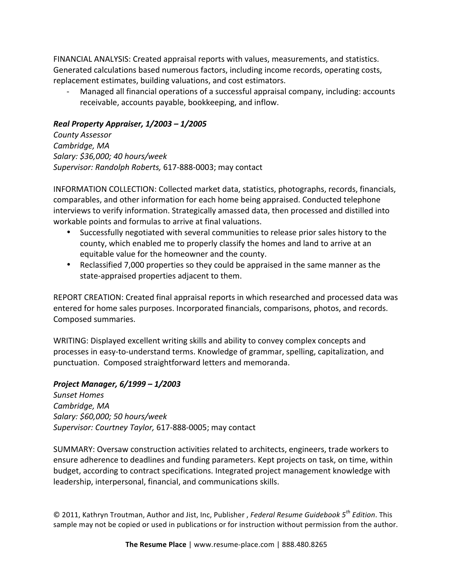FINANCIAL ANALYSIS: Created appraisal reports with values, measurements, and statistics. Generated calculations based numerous factors, including income records, operating costs, replacement estimates, building valuations, and cost estimators.

Managed all financial operations of a successful appraisal company, including: accounts receivable, accounts payable, bookkeeping, and inflow.

# *Real Property Appraiser, 1/2003 – 1/2005*

*County Assessor* Cambridge, MA *Salary: \$36,000; 40 hours/week Supervisor: Randolph Roberts,* 617-888-0003; may contact

INFORMATION COLLECTION: Collected market data, statistics, photographs, records, financials, comparables, and other information for each home being appraised. Conducted telephone interviews to verify information. Strategically amassed data, then processed and distilled into workable points and formulas to arrive at final valuations.

- Successfully negotiated with several communities to release prior sales history to the county, which enabled me to properly classify the homes and land to arrive at an equitable value for the homeowner and the county.
- Reclassified 7,000 properties so they could be appraised in the same manner as the state-appraised properties adjacent to them.

REPORT CREATION: Created final appraisal reports in which researched and processed data was entered for home sales purposes. Incorporated financials, comparisons, photos, and records. Composed summaries.

WRITING: Displayed excellent writing skills and ability to convey complex concepts and processes in easy-to-understand terms. Knowledge of grammar, spelling, capitalization, and punctuation. Composed straightforward letters and memoranda.

# *Project Manager, 6/1999 – 1/2003*

*Sunset Homes Cambridge, MA Salary: \$60,000; 50 hours/week* Supervisor: Courtney Taylor, 617-888-0005; may contact

SUMMARY: Oversaw construction activities related to architects, engineers, trade workers to ensure adherence to deadlines and funding parameters. Kept projects on task, on time, within budget, according to contract specifications. Integrated project management knowledge with leadership, interpersonal, financial, and communications skills.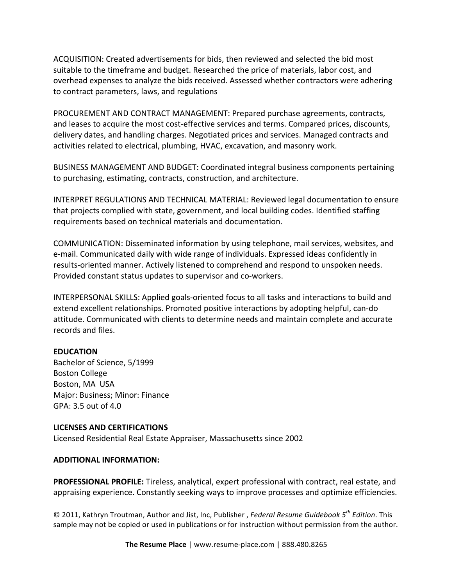ACQUISITION: Created advertisements for bids, then reviewed and selected the bid most suitable to the timeframe and budget. Researched the price of materials, labor cost, and overhead expenses to analyze the bids received. Assessed whether contractors were adhering to contract parameters, laws, and regulations

PROCUREMENT AND CONTRACT MANAGEMENT: Prepared purchase agreements, contracts, and leases to acquire the most cost-effective services and terms. Compared prices, discounts, delivery dates, and handling charges. Negotiated prices and services. Managed contracts and activities related to electrical, plumbing, HVAC, excavation, and masonry work.

BUSINESS MANAGEMENT AND BUDGET: Coordinated integral business components pertaining to purchasing, estimating, contracts, construction, and architecture.

INTERPRET REGULATIONS AND TECHNICAL MATERIAL: Reviewed legal documentation to ensure that projects complied with state, government, and local building codes. Identified staffing requirements based on technical materials and documentation.

COMMUNICATION: Disseminated information by using telephone, mail services, websites, and e-mail. Communicated daily with wide range of individuals. Expressed ideas confidently in results-oriented manner. Actively listened to comprehend and respond to unspoken needs. Provided constant status updates to supervisor and co-workers.

INTERPERSONAL SKILLS: Applied goals-oriented focus to all tasks and interactions to build and extend excellent relationships. Promoted positive interactions by adopting helpful, can-do attitude. Communicated with clients to determine needs and maintain complete and accurate records and files.

## **EDUCATION**

Bachelor of Science, 5/1999 Boston College Boston, MA USA Major: Business; Minor: Finance GPA: 3.5 out of 4.0

#### **LICENSES AND CERTIFICATIONS**

Licensed Residential Real Estate Appraiser, Massachusetts since 2002

#### **ADDITIONAL INFORMATION:**

**PROFESSIONAL PROFILE:** Tireless, analytical, expert professional with contract, real estate, and appraising experience. Constantly seeking ways to improve processes and optimize efficiencies.